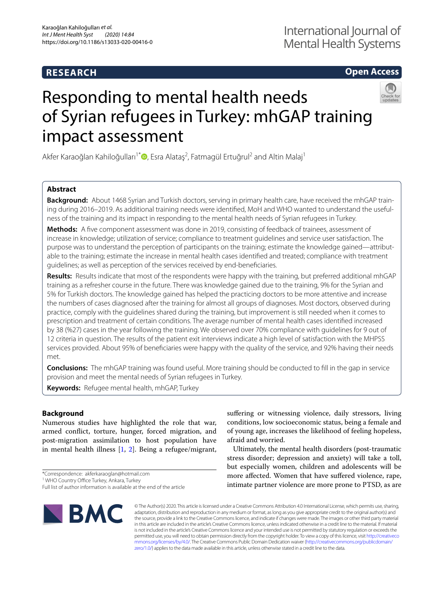## **RESEARCH**

**Open Access**

# Responding to mental health needs of Syrian refugees in Turkey: mhGAP training impact assessment

Akfer Karaoğlan Kahiloğulları<sup>1\*</sup> D[,](http://orcid.org/0000-0003-2247-9609) Esra Alataş<sup>2</sup>, Fatmagül Ertuğrul<sup>2</sup> and Altin Malaj<sup>1</sup>

## **Abstract**

**Background:** About 1468 Syrian and Turkish doctors, serving in primary health care, have received the mhGAP training during 2016–2019. As additional training needs were identifed, MoH and WHO wanted to understand the usefulness of the training and its impact in responding to the mental health needs of Syrian refugees in Turkey.

**Methods:** A fve component assessment was done in 2019, consisting of feedback of trainees, assessment of increase in knowledge; utilization of service; compliance to treatment guidelines and service user satisfaction. The purpose was to understand the perception of participants on the training; estimate the knowledge gained—attributable to the training; estimate the increase in mental health cases identifed and treated; compliance with treatment guidelines; as well as perception of the services received by end-benefciaries.

**Results:** Results indicate that most of the respondents were happy with the training, but preferred additional mhGAP training as a refresher course in the future. There was knowledge gained due to the training, 9% for the Syrian and 5% for Turkish doctors. The knowledge gained has helped the practicing doctors to be more attentive and increase the numbers of cases diagnosed after the training for almost all groups of diagnoses. Most doctors, observed during practice, comply with the guidelines shared during the training, but improvement is still needed when it comes to prescription and treatment of certain conditions. The average number of mental health cases identifed increased by 38 (%27) cases in the year following the training. We observed over 70% compliance with guidelines for 9 out of 12 criteria in question. The results of the patient exit interviews indicate a high level of satisfaction with the MHPSS services provided. About 95% of benefciaries were happy with the quality of the service, and 92% having their needs met.

**Conclusions:** The mhGAP training was found useful. More training should be conducted to fll in the gap in service provision and meet the mental needs of Syrian refugees in Turkey.

**Keywords:** Refugee mental health, mhGAP, Turkey

## **Background**

Numerous studies have highlighted the role that war, armed confict, torture, hunger, forced migration, and post-migration assimilation to host population have in mental health illness [[1,](#page-7-0) [2\]](#page-7-1). Being a refugee/migrant,

\*Correspondence: akferkaraoglan@hotmail.com

<sup>1</sup> WHO Country Office Turkey, Ankara, Turkey

suffering or witnessing violence, daily stressors, living conditions, low socioeconomic status, being a female and of young age, increases the likelihood of feeling hopeless, afraid and worried.

Ultimately, the mental health disorders (post-traumatic stress disorder; depression and anxiety) will take a toll, but especially women, children and adolescents will be more afected. Women that have sufered violence, rape, intimate partner violence are more prone to PTSD, as are



© The Author(s) 2020. This article is licensed under a Creative Commons Attribution 4.0 International License, which permits use, sharing, adaptation, distribution and reproduction in any medium or format, as long as you give appropriate credit to the original author(s) and the source, provide a link to the Creative Commons licence, and indicate if changes were made. The images or other third party material in this article are included in the article's Creative Commons licence, unless indicated otherwise in a credit line to the material. If material is not included in the article's Creative Commons licence and your intended use is not permitted by statutory regulation or exceeds the permitted use, you will need to obtain permission directly from the copyright holder. To view a copy of this licence, visit [http://creativeco](http://creativecommons.org/licenses/by/4.0/) [mmons.org/licenses/by/4.0/.](http://creativecommons.org/licenses/by/4.0/) The Creative Commons Public Domain Dedication waiver ([http://creativecommons.org/publicdomain/](http://creativecommons.org/publicdomain/zero/1.0/) [zero/1.0/\)](http://creativecommons.org/publicdomain/zero/1.0/) applies to the data made available in this article, unless otherwise stated in a credit line to the data.

Full list of author information is available at the end of the article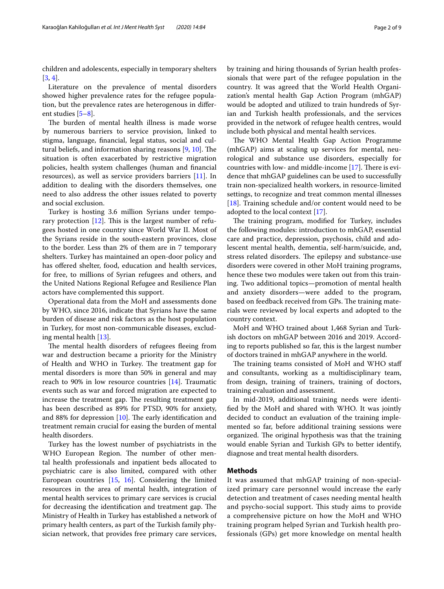children and adolescents, especially in temporary shelters [[3,](#page-7-2) [4](#page-7-3)].

Literature on the prevalence of mental disorders showed higher prevalence rates for the refugee population, but the prevalence rates are heterogenous in diferent studies [\[5](#page-7-4)–[8\]](#page-8-0).

The burden of mental health illness is made worse by numerous barriers to service provision, linked to stigma, language, fnancial, legal status, social and cultural beliefs, and information sharing reasons  $[9, 10]$  $[9, 10]$  $[9, 10]$  $[9, 10]$ . The situation is often exacerbated by restrictive migration policies, health system challenges (human and fnancial resources), as well as service providers barriers [[11\]](#page-8-3). In addition to dealing with the disorders themselves, one need to also address the other issues related to poverty and social exclusion.

Turkey is hosting 3.6 million Syrians under temporary protection  $[12]$  $[12]$ . This is the largest number of refugees hosted in one country since World War II. Most of the Syrians reside in the south-eastern provinces, close to the border. Less than 2% of them are in 7 temporary shelters. Turkey has maintained an open-door policy and has offered shelter, food, education and health services, for free, to millions of Syrian refugees and others, and the United Nations Regional Refugee and Resilience Plan actors have complemented this support.

Operational data from the MoH and assessments done by WHO, since 2016, indicate that Syrians have the same burden of disease and risk factors as the host population in Turkey, for most non-communicable diseases, excluding mental health [[13](#page-8-5)].

The mental health disorders of refugees fleeing from war and destruction became a priority for the Ministry of Health and WHO in Turkey. The treatment gap for mental disorders is more than 50% in general and may reach to 90% in low resource countries  $[14]$  $[14]$ . Traumatic events such as war and forced migration are expected to increase the treatment gap. The resulting treatment gap has been described as 89% for PTSD, 90% for anxiety, and 88% for depression  $[10]$ . The early identification and treatment remain crucial for easing the burden of mental health disorders.

Turkey has the lowest number of psychiatrists in the WHO European Region. The number of other mental health professionals and inpatient beds allocated to psychiatric care is also limited, compared with other European countries [[15](#page-8-7), [16](#page-8-8)]. Considering the limited resources in the area of mental health, integration of mental health services to primary care services is crucial for decreasing the identification and treatment gap. The Ministry of Health in Turkey has established a network of primary health centers, as part of the Turkish family physician network, that provides free primary care services, by training and hiring thousands of Syrian health professionals that were part of the refugee population in the country. It was agreed that the World Health Organization's mental health Gap Action Program (mhGAP) would be adopted and utilized to train hundreds of Syrian and Turkish health professionals, and the services provided in the network of refugee health centres, would include both physical and mental health services.

The WHO Mental Health Gap Action Programme (mhGAP) aims at scaling up services for mental, neurological and substance use disorders, especially for countries with low- and middle-income  $[17]$  $[17]$ . There is evidence that mhGAP guidelines can be used to successfully train non-specialized health workers, in resource-limited settings, to recognize and treat common mental illnesses [[18\]](#page-8-10). Training schedule and/or content would need to be adopted to the local context [[17\]](#page-8-9).

The training program, modified for Turkey, includes the following modules: introduction to mhGAP, essential care and practice, depression, psychosis, child and adolescent mental health, dementia, self-harm/suicide, and, stress related disorders. The epilepsy and substance-use disorders were covered in other MoH training programs, hence these two modules were taken out from this training. Two additional topics—promotion of mental health and anxiety disorders—were added to the program, based on feedback received from GPs. The training materials were reviewed by local experts and adopted to the country context.

MoH and WHO trained about 1,468 Syrian and Turkish doctors on mhGAP between 2016 and 2019. According to reports published so far, this is the largest number of doctors trained in mhGAP anywhere in the world.

The training teams consisted of MoH and WHO staff and consultants, working as a multidisciplinary team, from design, training of trainers, training of doctors, training evaluation and assessment.

In mid-2019, additional training needs were identifed by the MoH and shared with WHO. It was jointly decided to conduct an evaluation of the training implemented so far, before additional training sessions were organized. The original hypothesis was that the training would enable Syrian and Turkish GPs to better identify, diagnose and treat mental health disorders.

## **Methods**

It was assumed that mhGAP training of non-specialized primary care personnel would increase the early detection and treatment of cases needing mental health and psycho-social support. This study aims to provide a comprehensive picture on how the MoH and WHO training program helped Syrian and Turkish health professionals (GPs) get more knowledge on mental health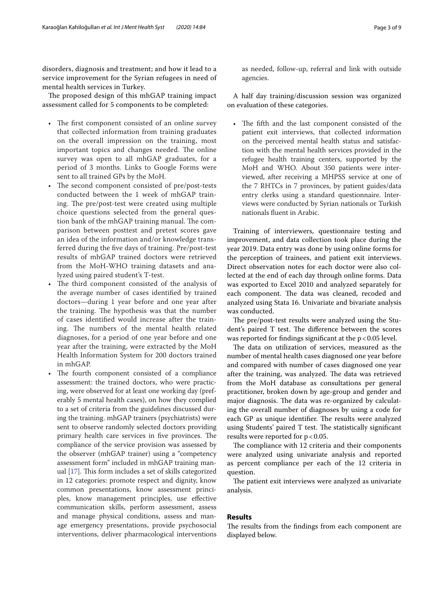disorders, diagnosis and treatment; and how it lead to a service improvement for the Syrian refugees in need of mental health services in Turkey.

The proposed design of this mhGAP training impact assessment called for 5 components to be completed:

- The first component consisted of an online survey that collected information from training graduates on the overall impression on the training, most important topics and changes needed. The online survey was open to all mhGAP graduates, for a period of 3 months. Links to Google Forms were sent to all trained GPs by the MoH.
- The second component consisted of pre/post-tests conducted between the 1 week of mhGAP training. The pre/post-test were created using multiple choice questions selected from the general question bank of the mhGAP training manual. The comparison between posttest and pretest scores gave an idea of the information and/or knowledge transferred during the fve days of training. Pre/post-test results of mhGAP trained doctors were retrieved from the MoH-WHO training datasets and analyzed using paired student's T-test.
- The third component consisted of the analysis of the average number of cases identifed by trained doctors—during 1 year before and one year after the training. The hypothesis was that the number of cases identifed would increase after the training. The numbers of the mental health related diagnoses, for a period of one year before and one year after the training, were extracted by the MoH Health Information System for 200 doctors trained in mhGAP.
- The fourth component consisted of a compliance assessment: the trained doctors, who were practicing, were observed for at least one working day (preferably 5 mental health cases), on how they complied to a set of criteria from the guidelines discussed during the training. mhGAP trainers (psychiatrists) were sent to observe randomly selected doctors providing primary health care services in five provinces. The compliance of the service provision was assessed by the observer (mhGAP trainer) using a "competency assessment form" included in mhGAP training manual  $[17]$  $[17]$  $[17]$ . This form includes a set of skills categorized in 12 categories: promote respect and dignity, know common presentations, know assessment principles, know management principles, use efective communication skills, perform assessment, assess and manage physical conditions, assess and manage emergency presentations, provide psychosocial interventions, deliver pharmacological interventions

as needed, follow-up, referral and link with outside agencies.

A half day training/discussion session was organized on evaluation of these categories.

• The fifth and the last component consisted of the patient exit interviews, that collected information on the perceived mental health status and satisfaction with the mental health services provided in the refugee health training centers, supported by the MoH and WHO. About 350 patients were interviewed, after receiving a MHPSS service at one of the 7 RHTCs in 7 provinces, by patient guides/data entry clerks using a standard questionnaire. Interviews were conducted by Syrian nationals or Turkish nationals fuent in Arabic.

Training of interviewers, questionnaire testing and improvement, and data collection took place during the year 2019. Data entry was done by using online forms for the perception of trainees, and patient exit interviews. Direct observation notes for each doctor were also collected at the end of each day through online forms. Data was exported to Excel 2010 and analyzed separately for each component. The data was cleaned, recoded and analyzed using Stata 16. Univariate and bivariate analysis was conducted.

The pre/post-test results were analyzed using the Student's paired T test. The difference between the scores was reported for findings significant at the  $p < 0.05$  level.

The data on utilization of services, measured as the number of mental health cases diagnosed one year before and compared with number of cases diagnosed one year after the training, was analyzed. The data was retrieved from the MoH database as consultations per general practitioner, broken down by age-group and gender and major diagnosis. The data was re-organized by calculating the overall number of diagnoses by using a code for each GP as unique identifier. The results were analyzed using Students' paired T test. The statistically significant results were reported for  $p < 0.05$ .

The compliance with 12 criteria and their components were analyzed using univariate analysis and reported as percent compliance per each of the 12 criteria in question.

The patient exit interviews were analyzed as univariate analysis.

## **Results**

The results from the findings from each component are displayed below.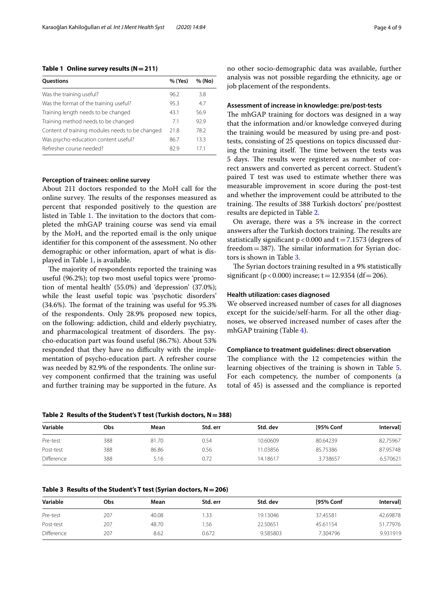## <span id="page-3-0"></span>**Table 1 Online survey results (N=211)**

| <b>Ouestions</b>                                | % (Yes) | % (No) |
|-------------------------------------------------|---------|--------|
| Was the training useful?                        | 96.2    | 3.8    |
| Was the format of the training useful?          | 95.3    | 4.7    |
| Training length needs to be changed             | 43.1    | 56.9   |
| Training method needs to be changed             | 71      | 929    |
| Content of training modules needs to be changed | 218     | 78.2   |
| Was psycho-education content useful?            | 86.7    | 13.3   |
| Refresher course needed?                        | 829     | 171    |

#### **Perception of trainees: online survey**

About 211 doctors responded to the MoH call for the online survey. The results of the responses measured as percent that responded positively to the question are listed in Table [1.](#page-3-0) The invitation to the doctors that completed the mhGAP training course was send via email by the MoH, and the reported email is the only unique identifer for this component of the assessment. No other demographic or other information, apart of what is displayed in Table [1](#page-3-0), is available.

The majority of respondents reported the training was useful (96.2%); top two most useful topics were 'promotion of mental health' (55.0%) and 'depression' (37.0%); while the least useful topic was 'psychotic disorders'  $(34.6\%)$ . The format of the training was useful for 95.3% of the respondents. Only 28.9% proposed new topics, on the following: addiction, child and elderly psychiatry, and pharmacological treatment of disorders. The psycho-education part was found useful (86.7%). About 53% responded that they have no difficulty with the implementation of psycho-education part. A refresher course was needed by 82.9% of the respondents. The online survey component confrmed that the training was useful and further training may be supported in the future. As no other socio-demographic data was available, further analysis was not possible regarding the ethnicity, age or job placement of the respondents.

#### **Assessment of increase in knowledge: pre/post‑tests**

The mhGAP training for doctors was designed in a way that the information and/or knowledge conveyed during the training would be measured by using pre-and posttests, consisting of 25 questions on topics discussed during the training itself. The time between the tests was 5 days. The results were registered as number of correct answers and converted as percent correct. Student's paired T test was used to estimate whether there was measurable improvement in score during the post-test and whether the improvement could be attributed to the training. The results of 388 Turkish doctors' pre/posttest results are depicted in Table [2](#page-3-1).

On average, there was a 5% increase in the correct answers after the Turkish doctors training. The results are statistically significant  $p < 0.000$  and  $t = 7.1573$  (degrees of freedom  $=387$ ). The similar information for Syrian doctors is shown in Table [3.](#page-3-2)

The Syrian doctors training resulted in a 9% statistically significant (p < 0.000) increase;  $t = 12.9354$  (df = 206).

#### **Health utilization: cases diagnosed**

We observed increased number of cases for all diagnoses except for the suicide/self-harm. For all the other diagnoses, we observed increased number of cases after the mhGAP training (Table [4\)](#page-4-0).

## **Compliance to treatment guidelines: direct observation**

The compliance with the 12 competencies within the learning objectives of the training is shown in Table [5](#page-4-1). For each competency, the number of components (a total of 45) is assessed and the compliance is reported

<span id="page-3-1"></span>**Table 2 Results of the Student's T test (Turkish doctors, N=388)**

| Variable   | Obs | Mean  | Std. err | Std. dev | [95% Conf | <b>Intervall</b> |
|------------|-----|-------|----------|----------|-----------|------------------|
| Pre-test   | 388 | 81.70 | 0.54     | 10.60609 | 80.64239  | 82.75967         |
| Post-test  | 388 | 86.86 | 0.56     | 1.03856  | 85.75386  | 87.95748         |
| Difference | 388 | 5.16  | 0.72     | 14.18617 | 3.738657  | 6.570621         |

<span id="page-3-2"></span>**Table 3 Results of the Student's T test (Syrian doctors, N=206)**

| Variable   | Obs | Mean  | Std. err | Std. dev | [95% Conf | Interval] |
|------------|-----|-------|----------|----------|-----------|-----------|
| Pre-test   | 207 | 40.08 | 1.33     | 19.13046 | 37.45581  | 42.69878  |
| Post-test  | 207 | 48.70 | 1.56     | 22.50651 | 45.61154  | 51.77976  |
| Difference | 207 | 8.62  | 0.672    | 9.585803 | 7.304796  | 9.931919  |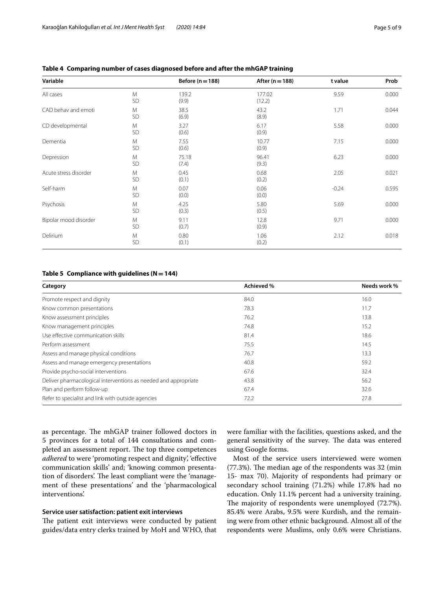| Variable              |                | Before ( $n = 188$ ) | After $(n=188)$  | t value | Prob  |
|-----------------------|----------------|----------------------|------------------|---------|-------|
| All cases             | M<br>SD        | 139.2<br>(9.9)       | 177.02<br>(12.2) | 9.59    | 0.000 |
| CAD behav and emoti   | M<br>SD        | 38.5<br>(6.9)        | 43.2<br>(8.9)    | 1.71    | 0.044 |
| CD developmental      | M<br><b>SD</b> | 3.27<br>(0.6)        | 6.17<br>(0.9)    | 5.58    | 0.000 |
| Dementia              | M<br><b>SD</b> | 7.55<br>(0.6)        | 10.77<br>(0.9)   | 7.15    | 0.000 |
| Depression            | M<br>SD        | 75.18<br>(7.4)       | 96.41<br>(9.3)   | 6.23    | 0.000 |
| Acute stress disorder | M<br>SD        | 0.45<br>(0.1)        | 0.68<br>(0.2)    | 2.05    | 0.021 |
| Self-harm             | M<br>SD        | 0.07<br>(0.0)        | 0.06<br>(0.0)    | $-0.24$ | 0.595 |
| Psychosis             | M<br><b>SD</b> | 4.25<br>(0.3)        | 5.80<br>(0.5)    | 5.69    | 0.000 |
| Bipolar mood disorder | M<br>SD        | 9.11<br>(0.7)        | 12.8<br>(0.9)    | 9.71    | 0.000 |
| Delirium              | M<br>SD        | 0.80<br>(0.1)        | 1.06<br>(0.2)    | 2.12    | 0.018 |

<span id="page-4-0"></span>**Table 4 Comparing number of cases diagnosed before and after the mhGAP training**

## <span id="page-4-1"></span>**Table 5 Compliance with guidelines (N=144)**

| Category                                                        | Achieved % | Needs work % |
|-----------------------------------------------------------------|------------|--------------|
| Promote respect and dignity                                     | 84.0       | 16.0         |
| Know common presentations                                       | 78.3       | 11.7         |
| Know assessment principles                                      | 76.2       | 13.8         |
| Know management principles                                      | 74.8       | 15.2         |
| Use effective communication skills                              | 81.4       | 18.6         |
| Perform assessment                                              | 75.5       | 14.5         |
| Assess and manage physical conditions                           | 76.7       | 13.3         |
| Assess and manage emergency presentations                       | 40.8       | 59.2         |
| Provide psycho-social interventions                             | 67.6       | 32.4         |
| Deliver pharmacological interventions as needed and appropriate | 43.8       | 56.2         |
| Plan and perform follow-up                                      | 67.4       | 32.6         |
| Refer to specialist and link with outside agencies              | 72.2       | 27.8         |

as percentage. The mhGAP trainer followed doctors in 5 provinces for a total of 144 consultations and completed an assessment report. The top three competences *adhered* to were 'promoting respect and dignity', 'effective communication skills' and; 'knowing common presentation of disorders'. The least compliant were the 'management of these presentations' and the 'pharmacological interventions'.

## **Service user satisfaction: patient exit interviews**

The patient exit interviews were conducted by patient guides/data entry clerks trained by MoH and WHO, that were familiar with the facilities, questions asked, and the general sensitivity of the survey. The data was entered using Google forms.

Most of the service users interviewed were women  $(77.3%)$ . The median age of the respondents was 32 (min 15- max 70). Majority of respondents had primary or secondary school training (71.2%) while 17.8% had no education. Only 11.1% percent had a university training. The majority of respondents were unemployed (72.7%). 85.4% were Arabs, 9.5% were Kurdish, and the remaining were from other ethnic background. Almost all of the respondents were Muslims, only 0.6% were Christians.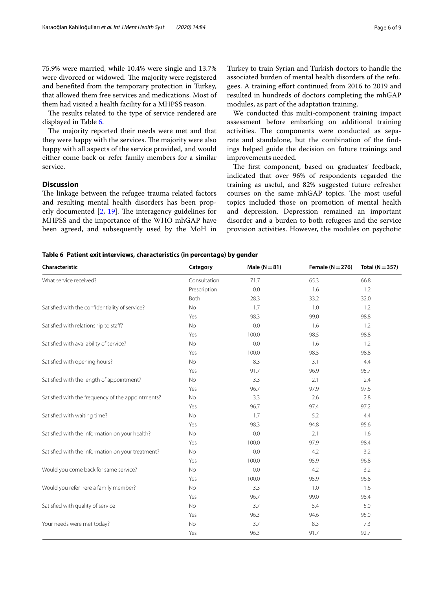75.9% were married, while 10.4% were single and 13.7% were divorced or widowed. The majority were registered and benefted from the temporary protection in Turkey, that allowed them free services and medications. Most of them had visited a health facility for a MHPSS reason.

The results related to the type of service rendered are displayed in Table [6](#page-5-0).

The majority reported their needs were met and that they were happy with the services. The majority were also happy with all aspects of the service provided, and would either come back or refer family members for a similar service.

## **Discussion**

The linkage between the refugee trauma related factors and resulting mental health disorders has been properly documented  $[2, 19]$  $[2, 19]$  $[2, 19]$  $[2, 19]$  $[2, 19]$ . The interagency guidelines for MHPSS and the importance of the WHO mhGAP have been agreed, and subsequently used by the MoH in Turkey to train Syrian and Turkish doctors to handle the associated burden of mental health disorders of the refugees. A training effort continued from 2016 to 2019 and resulted in hundreds of doctors completing the mhGAP modules, as part of the adaptation training.

We conducted this multi-component training impact assessment before embarking on additional training activities. The components were conducted as separate and standalone, but the combination of the fndings helped guide the decision on future trainings and improvements needed.

The first component, based on graduates' feedback, indicated that over 96% of respondents regarded the training as useful, and 82% suggested future refresher courses on the same mhGAP topics. The most useful topics included those on promotion of mental health and depression. Depression remained an important disorder and a burden to both refugees and the service provision activities. However, the modules on psychotic

<span id="page-5-0"></span>**Table 6 Patient exit interviews, characteristics (in percentage) by gender**

| What service received?<br>Consultation<br>66.8<br>71.7<br>65.3<br>1.2<br>Prescription<br>0.0<br>1.6<br><b>Both</b><br>28.3<br>33.2<br>32.0<br>Satisfied with the confidentiality of service?<br>1.7<br>1.0<br>1.2<br><b>No</b><br>98.3<br>99.0<br>98.8<br>Yes<br>Satisfied with relationship to staff?<br>0.0<br>1.2<br>No<br>1.6<br>98.8<br>100.0<br>98.5<br>Yes<br>Satisfied with availability of service?<br>1.2<br>0.0<br>1.6<br>No<br>100.0<br>98.8<br>98.5<br>Yes<br>Satisfied with opening hours?<br>8.3<br>3.1<br>4.4<br>No | Characteristic | Category | Male ( $N = 81$ ) | Female ( $N = 276$ ) | Total $(N = 357)$ |
|-------------------------------------------------------------------------------------------------------------------------------------------------------------------------------------------------------------------------------------------------------------------------------------------------------------------------------------------------------------------------------------------------------------------------------------------------------------------------------------------------------------------------------------|----------------|----------|-------------------|----------------------|-------------------|
|                                                                                                                                                                                                                                                                                                                                                                                                                                                                                                                                     |                |          |                   |                      |                   |
|                                                                                                                                                                                                                                                                                                                                                                                                                                                                                                                                     |                |          |                   |                      |                   |
|                                                                                                                                                                                                                                                                                                                                                                                                                                                                                                                                     |                |          |                   |                      |                   |
|                                                                                                                                                                                                                                                                                                                                                                                                                                                                                                                                     |                |          |                   |                      |                   |
|                                                                                                                                                                                                                                                                                                                                                                                                                                                                                                                                     |                |          |                   |                      |                   |
|                                                                                                                                                                                                                                                                                                                                                                                                                                                                                                                                     |                |          |                   |                      |                   |
|                                                                                                                                                                                                                                                                                                                                                                                                                                                                                                                                     |                |          |                   |                      |                   |
|                                                                                                                                                                                                                                                                                                                                                                                                                                                                                                                                     |                |          |                   |                      |                   |
|                                                                                                                                                                                                                                                                                                                                                                                                                                                                                                                                     |                |          |                   |                      |                   |
|                                                                                                                                                                                                                                                                                                                                                                                                                                                                                                                                     |                |          |                   |                      |                   |
| 91.7<br>95.7<br>96.9<br>Yes                                                                                                                                                                                                                                                                                                                                                                                                                                                                                                         |                |          |                   |                      |                   |
| Satisfied with the length of appointment?<br>3.3<br>2.1<br>2.4<br>No                                                                                                                                                                                                                                                                                                                                                                                                                                                                |                |          |                   |                      |                   |
| 97.6<br>96.7<br>97.9<br>Yes                                                                                                                                                                                                                                                                                                                                                                                                                                                                                                         |                |          |                   |                      |                   |
| Satisfied with the frequency of the appointments?<br>No<br>3.3<br>2.6<br>2.8                                                                                                                                                                                                                                                                                                                                                                                                                                                        |                |          |                   |                      |                   |
| 97.2<br>96.7<br>97.4<br>Yes                                                                                                                                                                                                                                                                                                                                                                                                                                                                                                         |                |          |                   |                      |                   |
| Satisfied with waiting time?<br>1.7<br>5.2<br>4.4<br>No                                                                                                                                                                                                                                                                                                                                                                                                                                                                             |                |          |                   |                      |                   |
| Yes<br>98.3<br>94.8<br>95.6                                                                                                                                                                                                                                                                                                                                                                                                                                                                                                         |                |          |                   |                      |                   |
| Satisfied with the information on your health?<br>No<br>0.0<br>2.1<br>1.6                                                                                                                                                                                                                                                                                                                                                                                                                                                           |                |          |                   |                      |                   |
| 100.0<br>97.9<br>98.4<br>Yes                                                                                                                                                                                                                                                                                                                                                                                                                                                                                                        |                |          |                   |                      |                   |
| Satisfied with the information on your treatment?<br>0.0<br>4.2<br>3.2<br>No                                                                                                                                                                                                                                                                                                                                                                                                                                                        |                |          |                   |                      |                   |
| 100.0<br>96.8<br>95.9<br>Yes                                                                                                                                                                                                                                                                                                                                                                                                                                                                                                        |                |          |                   |                      |                   |
| Would you come back for same service?<br>3.2<br>0.0<br>4.2<br>No                                                                                                                                                                                                                                                                                                                                                                                                                                                                    |                |          |                   |                      |                   |
| 100.0<br>96.8<br>95.9<br>Yes                                                                                                                                                                                                                                                                                                                                                                                                                                                                                                        |                |          |                   |                      |                   |
| Would you refer here a family member?<br>3.3<br>1.6<br>No<br>1.0                                                                                                                                                                                                                                                                                                                                                                                                                                                                    |                |          |                   |                      |                   |
| 96.7<br>99.0<br>98.4<br>Yes                                                                                                                                                                                                                                                                                                                                                                                                                                                                                                         |                |          |                   |                      |                   |
| Satisfied with quality of service<br>5.0<br>No<br>3.7<br>5.4                                                                                                                                                                                                                                                                                                                                                                                                                                                                        |                |          |                   |                      |                   |
| Yes<br>96.3<br>95.0<br>94.6                                                                                                                                                                                                                                                                                                                                                                                                                                                                                                         |                |          |                   |                      |                   |
| Your needs were met today?<br>3.7<br>8.3<br>7.3<br>No                                                                                                                                                                                                                                                                                                                                                                                                                                                                               |                |          |                   |                      |                   |
| 96.3<br>91.7<br>92.7<br>Yes                                                                                                                                                                                                                                                                                                                                                                                                                                                                                                         |                |          |                   |                      |                   |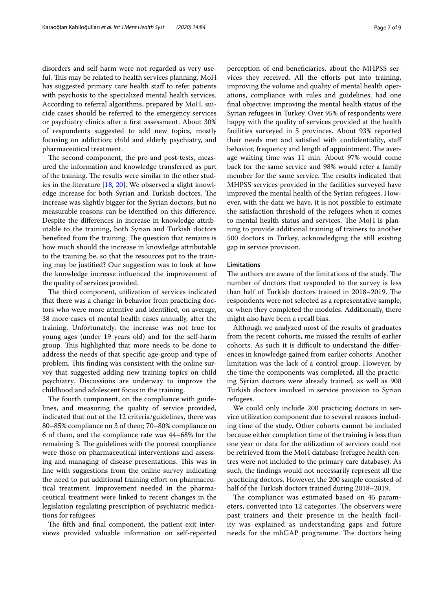disorders and self-harm were not regarded as very useful. This may be related to health services planning. MoH has suggested primary care health staff to refer patients with psychosis to the specialized mental health services. According to referral algorithms, prepared by MoH, suicide cases should be referred to the emergency services or psychiatry clinics after a frst assessment. About 30% of respondents suggested to add new topics, mostly focusing on addiction; child and elderly psychiatry, and pharmaceutical treatment.

The second component, the pre-and post-tests, measured the information and knowledge transferred as part of the training. The results were similar to the other studies in the literature [[18](#page-8-10), [20](#page-8-12)]. We observed a slight knowledge increase for both Syrian and Turkish doctors. The increase was slightly bigger for the Syrian doctors, but no measurable reasons can be identifed on this diference. Despite the diferences in increase in knowledge attributable to the training, both Syrian and Turkish doctors benefited from the training. The question that remains is how much should the increase in knowledge attributable to the training be, so that the resources put to the training may be justifed? Our suggestion was to look at how the knowledge increase infuenced the improvement of the quality of services provided.

The third component, utilization of services indicated that there was a change in behavior from practicing doctors who were more attentive and identifed, on average, 38 more cases of mental health cases annually, after the training. Unfortunately, the increase was not true for young ages (under 19 years old) and for the self-harm group. This highlighted that more needs to be done to address the needs of that specifc age-group and type of problem. This finding was consistent with the online survey that suggested adding new training topics on child psychiatry. Discussions are underway to improve the childhood and adolescent focus in the training.

The fourth component, on the compliance with guidelines, and measuring the quality of service provided, indicated that out of the 12 criteria/guidelines, there was 80–85% compliance on 3 of them; 70–80% compliance on 6 of them, and the compliance rate was 44–68% for the remaining 3. The guidelines with the poorest compliance were those on pharmaceutical interventions and assessing and managing of disease presentations. This was in line with suggestions from the online survey indicating the need to put additional training effort on pharmaceutical treatment. Improvement needed in the pharmaceutical treatment were linked to recent changes in the legislation regulating prescription of psychiatric medications for refugees.

The fifth and final component, the patient exit interviews provided valuable information on self-reported perception of end-benefciaries, about the MHPSS services they received. All the efforts put into training, improving the volume and quality of mental health operations, compliance with rules and guidelines, had one fnal objective: improving the mental health status of the Syrian refugees in Turkey. Over 95% of respondents were happy with the quality of services provided at the health facilities surveyed in 5 provinces. About 93% reported their needs met and satisfied with confidentiality, staff behavior, frequency and length of appointment. The average waiting time was 11 min. About 97% would come back for the same service and 98% would refer a family member for the same service. The results indicated that MHPSS services provided in the facilities surveyed have improved the mental health of the Syrian refugees. However, with the data we have, it is not possible to estimate the satisfaction threshold of the refugees when it comes to mental health status and services. The MoH is planning to provide additional training of trainers to another 500 doctors in Turkey, acknowledging the still existing gap in service provision.

#### **Limitations**

The authors are aware of the limitations of the study. The number of doctors that responded to the survey is less than half of Turkish doctors trained in 2018–2019. The respondents were not selected as a representative sample, or when they completed the modules. Additionally, there might also have been a recall bias.

Although we analyzed most of the results of graduates from the recent cohorts, me missed the results of earlier cohorts. As such it is difficult to understand the differences in knowledge gained from earlier cohorts. Another limitation was the lack of a control group. However, by the time the components was completed, all the practicing Syrian doctors were already trained, as well as 900 Turkish doctors involved in service provision to Syrian refugees.

We could only include 200 practicing doctors in service utilization component due to several reasons including time of the study. Other cohorts cannot be included because either completion time of the training is less than one year or data for the utilization of services could not be retrieved from the MoH database (refugee health centres were not included to the primary care database). As such, the fndings would not necessarily represent all the practicing doctors. However, the 200 sample consisted of half of the Turkish doctors trained during 2018–2019.

The compliance was estimated based on 45 parameters, converted into 12 categories. The observers were past trainers and their presence in the health facility was explained as understanding gaps and future needs for the mhGAP programme. The doctors being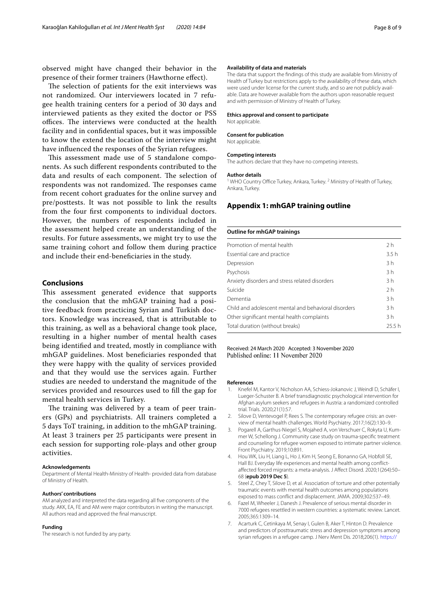observed might have changed their behavior in the presence of their former trainers (Hawthorne efect).

The selection of patients for the exit interviews was not randomized. Our interviewers located in 7 refugee health training centers for a period of 30 days and interviewed patients as they exited the doctor or PSS offices. The interviews were conducted at the health facility and in confdential spaces, but it was impossible to know the extend the location of the interview might have infuenced the responses of the Syrian refugees.

This assessment made use of 5 standalone components. As such diferent respondents contributed to the data and results of each component. The selection of respondents was not randomized. The responses came from recent cohort graduates for the online survey and pre/posttests. It was not possible to link the results from the four frst components to individual doctors. However, the numbers of respondents included in the assessment helped create an understanding of the results. For future assessments, we might try to use the same training cohort and follow them during practice and include their end-benefciaries in the study.

## **Conclusions**

This assessment generated evidence that supports the conclusion that the mhGAP training had a positive feedback from practicing Syrian and Turkish doctors. Knowledge was increased, that is attributable to this training, as well as a behavioral change took place, resulting in a higher number of mental health cases being identifed and treated, mostly in compliance with mhGAP guidelines. Most benefciaries responded that they were happy with the quality of services provided and that they would use the services again. Further studies are needed to understand the magnitude of the services provided and resources used to fll the gap for mental health services in Turkey.

The training was delivered by a team of peer trainers (GPs) and psychiatrists. All trainers completed a 5 days ToT training, in addition to the mhGAP training. At least 3 trainers per 25 participants were present in each session for supporting role-plays and other group activities.

#### **Acknowledgements**

Department of Mental Health-Ministry of Health- provided data from database of Ministry of Health.

#### **Authors' contributions**

AM analyzed and interpreted the data regarding all fve components of the study. AKK, EA, FE and AM were major contributors in writing the manuscript. All authors read and approved the fnal manuscript.

#### **Funding**

The research is not funded by any party.

#### **Availability of data and materials**

The data that support the fndings of this study are available from Ministry of Health of Turkey but restrictions apply to the availability of these data, which were used under license for the current study, and so are not publicly available. Data are however available from the authors upon reasonable request and with permission of Ministry of Health of Turkey.

#### **Ethics approval and consent to participate**

Not applicable.

#### **Consent for publication**

Not applicable.

#### **Competing interests**

The authors declare that they have no competing interests.

#### **Author details**

 $1$  WHO Country Office Turkey, Ankara, Turkey.  $2$  Ministry of Health of Turkey, Ankara, Turkey.

## **Appendix 1: mhGAP training outline**

#### **Outline for mhGAP trainings**

| Promotion of mental health                           | 2 <sub>h</sub> |
|------------------------------------------------------|----------------|
| Essential care and practice                          | 3.5h           |
| Depression                                           | 3 h            |
| Psychosis                                            | 3 h            |
| Anxiety disorders and stress related disorders       | 3 h            |
| Suicide                                              | 2 <sub>h</sub> |
| Dementia                                             | 3 h            |
| Child and adolescent mental and behavioral disorders | 3 h            |
| Other significant mental health complaints           | 3 h            |
| Total duration (without breaks)                      | 25.5h          |

#### Received: 24 March 2020 Accepted: 3 November 2020 Published online: 11 November 2020

#### **References**

- <span id="page-7-0"></span>1. Knefel M, Kantor V, Nicholson AA, Schiess-Jokanovic J, Weindl D, Schäfer I, Lueger-Schuster B. A brief transdiagnostic psychological intervention for Afghan asylum seekers and refugees in Austria: a randomized controlled trial. Trials. 2020;21(1):57.
- <span id="page-7-1"></span>2. Silove D, Ventevogel P, Rees S. The contemporary refugee crisis: an overview of mental health challenges. World Psychiatry. 2017;16(2):130–9.
- <span id="page-7-2"></span>3. Pogarell A, Garthus-Niegel S, Mojahed A, von Verschuer C, Rokyta U, Kummer W, Schellong J. Community case study on trauma-specifc treatment and counseling for refugee women exposed to intimate partner violence. Front Psychiatry. 2019;10:891.
- <span id="page-7-3"></span>4. Hou WK, Liu H, Liang L, Ho J, Kim H, Seong E, Bonanno GA, Hobfoll SE, Hall BJ. Everyday life experiences and mental health among confictafected forced migrants: a meta-analysis. J Afect Disord. 2020;1(264):50– 68 (**epub 2019 Dec 5**).
- <span id="page-7-4"></span>5. Steel Z, Chey T, Silove D, et al. Association of torture and other potentially traumatic events with mental health outcomes among populations exposed to mass confict and displacement. JAMA. 2009;302:537–49.
- 6. Fazel M, Wheeler J, Danesh J. Prevalence of serious mental disorder in 7000 refugees resettled in western countries: a systematic review. Lancet. 2005;365:1309–14.
- 7. Acarturk C, Cetinkaya M, Senay I, Gulen B, Aker T, Hinton D. Prevalence and predictors of posttraumatic stress and depression symptoms among syrian refugees in a refugee camp. J Nerv Ment Dis. 2018;206(1). [https://](https://journals.lww.com/jonmd/Fulltext/2018/01000/Prevalence_and_Predictors_of_Posttraumatic_Stress.7.asp)